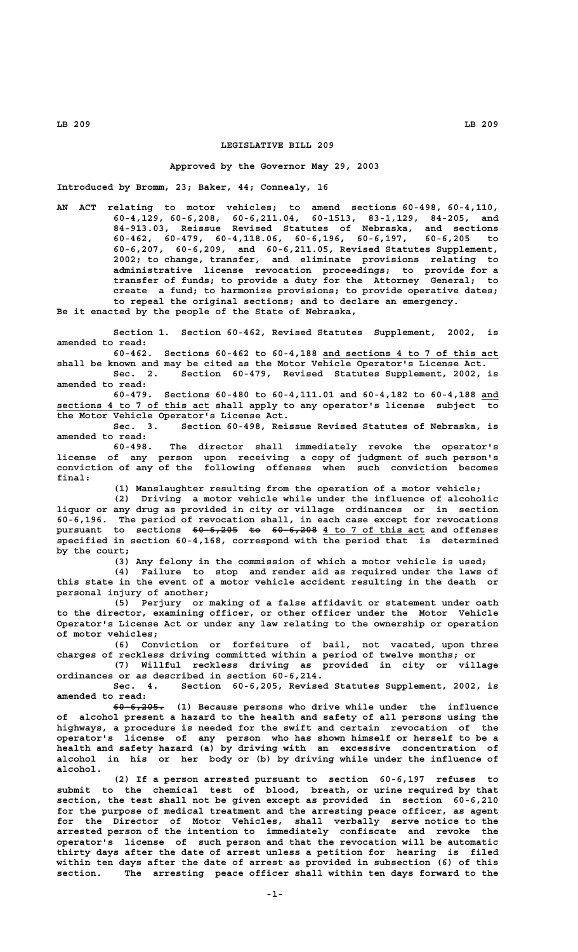# **LEGISLATIVE BILL 209**

## **Approved by the Governor May 29, 2003**

**Introduced by Bromm, 23; Baker, 44; Connealy, 16**

**AN ACT relating to motor vehicles; to amend sections 60-498, 60-4,110, 60-4,129, 60-6,208, 60-6,211.04, 60-1513, 83-1,129, 84-205, and 84-913.03, Reissue Revised Statutes of Nebraska, and sections 60-462, 60-479, 60-4,118.06, 60-6,196, 60-6,197, 60-6,205 to 60-6,207, 60-6,209, and 60-6,211.05, Revised Statutes Supplement, 2002; to change, transfer, and eliminate provisions relating to administrative license revocation proceedings; to provide for a transfer of funds; to provide a duty for the Attorney General; to create a fund; to harmonize provisions; to provide operative dates; to repeal the original sections; and to declare an emergency.**

**Be it enacted by the people of the State of Nebraska,**

**Section 1. Section 60-462, Revised Statutes Supplement, 2002, is amended to read:**

Sections 60-462 to 60-4,188 and sections 4 to 7 of this act **shall be known and may be cited as the Motor Vehicle Operator's License Act. Sec. 2. Section 60-479, Revised Statutes Supplement, 2002, is**

**amended to read: 60-479. Sections 60-480 to 60-4,111.01 and 60-4,182 to 60-4,188 and \_\_\_**

 **\_\_\_\_\_\_\_\_\_\_\_\_\_\_\_\_\_\_\_\_\_\_\_\_\_\_\_ sections 4 to 7 of this act shall apply to any operator's license subject to the Motor Vehicle Operator's License Act.**

**Sec. 3. Section 60-498, Reissue Revised Statutes of Nebraska, is amended to read:**

**60-498. The director shall immediately revoke the operator's license of any person upon receiving a copy of judgment of such person's conviction of any of the following offenses when such conviction becomes final:**

**(1) Manslaughter resulting from the operation of a motor vehicle;**

**(2) Driving a motor vehicle while under the influence of alcoholic liquor or any drug as provided in city or village ordinances or in section 60-6,196. The period of revocation shall, in each case except for revocations pursuant to sections 60-6,205 to 60-6,208 4 to 7 of this act and offenses ———————— —— ———————— \_\_\_\_\_\_\_\_\_\_\_\_\_\_\_\_\_\_ specified in section 60-4,168, correspond with the period that is determined by the court;**

**(3) Any felony in the commission of which a motor vehicle is used;**

**(4) Failure to stop and render aid as required under the laws of this state in the event of a motor vehicle accident resulting in the death or personal injury of another;**

**(5) Perjury or making of a false affidavit or statement under oath to the director, examining officer, or other officer under the Motor Vehicle Operator's License Act or under any law relating to the ownership or operation of motor vehicles;**

**(6) Conviction or forfeiture of bail, not vacated, upon three charges of reckless driving committed within a period of twelve months; or**

**(7) Willful reckless driving as provided in city or village ordinances or as described in section 60-6,214.**

**Sec. 4. Section 60-6,205, Revised Statutes Supplement, 2002, is amended to read:**

 **————————— 60-6,205. (1) Because persons who drive while under the influence of alcohol present a hazard to the health and safety of all persons using the highways, a procedure is needed for the swift and certain revocation of the operator's license of any person who has shown himself or herself to be a health and safety hazard (a) by driving with an excessive concentration of alcohol in his or her body or (b) by driving while under the influence of alcohol.**

**(2) If a person arrested pursuant to section 60-6,197 refuses to submit to the chemical test of blood, breath, or urine required by that section, the test shall not be given except as provided in section 60-6,210 for the purpose of medical treatment and the arresting peace officer, as agent for the Director of Motor Vehicles, shall verbally serve notice to the arrested person of the intention to immediately confiscate and revoke the operator's license of such person and that the revocation will be automatic thirty days after the date of arrest unless a petition for hearing is filed within ten days after the date of arrest as provided in subsection (6) of this section. The arresting peace officer shall within ten days forward to the**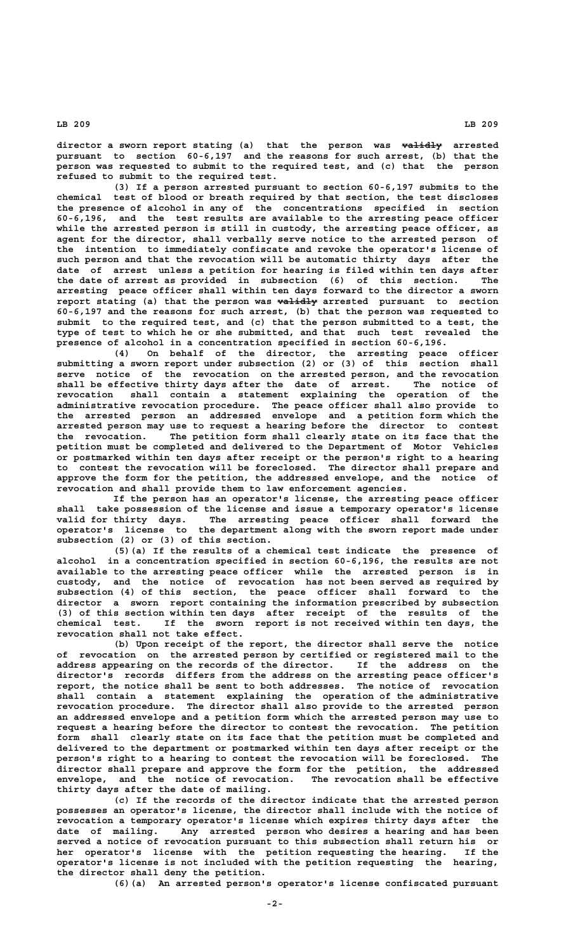**director a sworn report stating (a) that the person was validly arrested —————— pursuant to section 60-6,197 and the reasons for such arrest, (b) that the person was requested to submit to the required test, and (c) that the person refused to submit to the required test.**

**(3) If a person arrested pursuant to section 60-6,197 submits to the chemical test of blood or breath required by that section, the test discloses the presence of alcohol in any of the concentrations specified in section 60-6,196, and the test results are available to the arresting peace officer while the arrested person is still in custody, the arresting peace officer, as agent for the director, shall verbally serve notice to the arrested person of the intention to immediately confiscate and revoke the operator's license of such person and that the revocation will be automatic thirty days after the date of arrest unless a petition for hearing is filed within ten days after the date of arrest as provided in subsection (6) of this section. The arresting peace officer shall within ten days forward to the director a sworn** report stating (a) that the person was validly arrested pursuant to section **60-6,197 and the reasons for such arrest, (b) that the person was requested to submit to the required test, and (c) that the person submitted to a test, the type of test to which he or she submitted, and that such test revealed the presence of alcohol in a concentration specified in section 60-6,196.**

**(4) On behalf of the director, the arresting peace officer submitting a sworn report under subsection (2) or (3) of this section shall serve notice of the revocation on the arrested person, and the revocation shall be effective thirty days after the date of arrest. The notice of revocation shall contain a statement explaining the operation of the administrative revocation procedure. The peace officer shall also provide to the arrested person an addressed envelope and a petition form which the arrested person may use to request a hearing before the director to contest the revocation. The petition form shall clearly state on its face that the petition must be completed and delivered to the Department of Motor Vehicles or postmarked within ten days after receipt or the person's right to a hearing to contest the revocation will be foreclosed. The director shall prepare and approve the form for the petition, the addressed envelope, and the notice of revocation and shall provide them to law enforcement agencies.**

**If the person has an operator's license, the arresting peace officer shall take possession of the license and issue a temporary operator's license valid for thirty days. The arresting peace officer shall forward the operator's license to the department along with the sworn report made under subsection (2) or (3) of this section.**

**(5)(a) If the results of a chemical test indicate the presence of alcohol in a concentration specified in section 60-6,196, the results are not available to the arresting peace officer while the arrested person is in custody, and the notice of revocation has not been served as required by subsection (4) of this section, the peace officer shall forward to the director a sworn report containing the information prescribed by subsection (3) of this section within ten days after receipt of the results of the chemical test. If the sworn report is not received within ten days, the revocation shall not take effect.**

**(b) Upon receipt of the report, the director shall serve the notice of revocation on the arrested person by certified or registered mail to the address appearing on the records of the director. If the address on the director's records differs from the address on the arresting peace officer's report, the notice shall be sent to both addresses. The notice of revocation shall contain a statement explaining the operation of the administrative revocation procedure. The director shall also provide to the arrested person an addressed envelope and a petition form which the arrested person may use to request a hearing before the director to contest the revocation. The petition form shall clearly state on its face that the petition must be completed and delivered to the department or postmarked within ten days after receipt or the person's right to a hearing to contest the revocation will be foreclosed. The director shall prepare and approve the form for the petition, the addressed** envelope, and the notice of revocation. **thirty days after the date of mailing.**

**(c) If the records of the director indicate that the arrested person possesses an operator's license, the director shall include with the notice of revocation a temporary operator's license which expires thirty days after the date of mailing. Any arrested person who desires a hearing and has been served a notice of revocation pursuant to this subsection shall return his or her operator's license with the petition requesting the hearing. If the operator's license is not included with the petition requesting the hearing, the director shall deny the petition.**

**(6)(a) An arrested person's operator's license confiscated pursuant**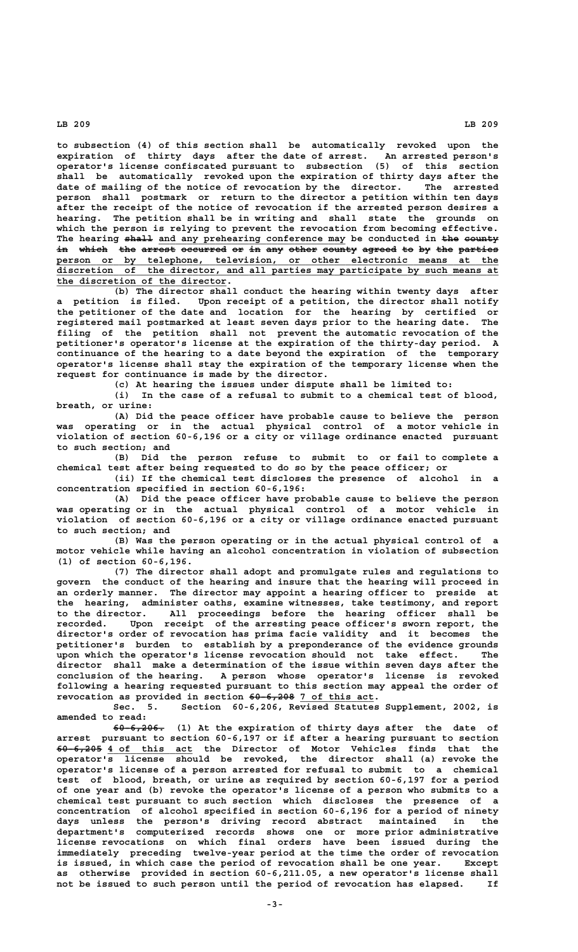**to subsection (4) of this section shall be automatically revoked upon the expiration of thirty days after the date of arrest. An arrested person's operator's license confiscated pursuant to subsection (5) of this section shall be automatically revoked upon the expiration of thirty days after the date of mailing of the notice of revocation by the director. The arrested person shall postmark or return to the director a petition within ten days after the receipt of the notice of revocation if the arrested person desires a hearing. The petition shall be in writing and shall state the grounds on which the person is relying to prevent the revocation from becoming effective.** The hearing <del>shall</del> and any prehearing conference may be conducted in <del>the county</del> **in which the arrest occurred or in any other county agreed to by the parties —— ————— ——— —————— ———————— —— —— ——— ————— —————— —————— —— —— ——— ——————— \_\_\_\_\_\_\_\_\_\_\_\_\_\_\_\_\_\_\_\_\_\_\_\_\_\_\_\_\_\_\_\_\_\_\_\_\_\_\_\_\_\_\_\_\_\_\_\_\_\_\_\_\_\_\_\_\_\_\_\_\_\_\_\_\_\_\_\_\_\_\_\_\_\_\_\_\_\_ person or by telephone, television, or other electronic means at the \_\_\_\_\_\_\_\_\_\_\_\_\_\_\_\_\_\_\_\_\_\_\_\_\_\_\_\_\_\_\_\_\_\_\_\_\_\_\_\_\_\_\_\_\_\_\_\_\_\_\_\_\_\_\_\_\_\_\_\_\_\_\_\_\_\_\_\_\_\_\_\_\_\_\_\_\_\_ discretion of the director, and all parties may participate by such means at \_\_\_\_\_\_\_\_\_\_\_\_\_\_\_\_\_\_\_\_\_\_\_\_\_\_\_\_\_\_ the discretion of the director.**

**(b) The director shall conduct the hearing within twenty days after a petition is filed. Upon receipt of a petition, the director shall notify the petitioner of the date and location for the hearing by certified or registered mail postmarked at least seven days prior to the hearing date. The filing of the petition shall not prevent the automatic revocation of the petitioner's operator's license at the expiration of the thirty-day period. A continuance of the hearing to a date beyond the expiration of the temporary operator's license shall stay the expiration of the temporary license when the request for continuance is made by the director.**

**(c) At hearing the issues under dispute shall be limited to:**

**(i) In the case of a refusal to submit to a chemical test of blood, breath, or urine:**

**(A) Did the peace officer have probable cause to believe the person was operating or in the actual physical control of a motor vehicle in violation of section 60-6,196 or a city or village ordinance enacted pursuant to such section; and**

**(B) Did the person refuse to submit to or fail to complete a chemical test after being requested to do so by the peace officer; or**

**(ii) If the chemical test discloses the presence of alcohol in a concentration specified in section 60-6,196:**

**(A) Did the peace officer have probable cause to believe the person was operating or in the actual physical control of a motor vehicle in violation of section 60-6,196 or a city or village ordinance enacted pursuant to such section; and**

**(B) Was the person operating or in the actual physical control of a motor vehicle while having an alcohol concentration in violation of subsection (1) of section 60-6,196.**

**(7) The director shall adopt and promulgate rules and regulations to govern the conduct of the hearing and insure that the hearing will proceed in an orderly manner. The director may appoint a hearing officer to preside at the hearing, administer oaths, examine witnesses, take testimony, and report to the director. All proceedings before the hearing officer shall be recorded. Upon receipt of the arresting peace officer's sworn report, the director's order of revocation has prima facie validity and it becomes the petitioner's burden to establish by a preponderance of the evidence grounds upon which the operator's license revocation should not take effect. The director shall make a determination of the issue within seven days after the conclusion of the hearing. A person whose operator's license is revoked following a hearing requested pursuant to this section may appeal the order of** revocation as provided in section 60-6,208 7 of this act.

**Sec. 5. Section 60-6,206, Revised Statutes Supplement, 2002, is amended to read:**

 **————————— 60-6,206. (1) At the expiration of thirty days after the date of arrest pursuant to section 60-6,197 or if after a hearing pursuant to section ———————— \_\_\_\_\_\_\_\_\_\_\_\_\_\_\_ 60-6,205 4 of this act the Director of Motor Vehicles finds that the operator's license should be revoked, the director shall (a) revoke the operator's license of a person arrested for refusal to submit to a chemical test of blood, breath, or urine as required by section 60-6,197 for a period of one year and (b) revoke the operator's license of a person who submits to a chemical test pursuant to such section which discloses the presence of a concentration of alcohol specified in section 60-6,196 for a period of ninety days unless the person's driving record abstract maintained in the department's computerized records shows one or more prior administrative license revocations on which final orders have been issued during the immediately preceding twelve-year period at the time the order of revocation is issued, in which case the period of revocation shall be one year. Except as otherwise provided in section 60-6,211.05, a new operator's license shall not be issued to such person until the period of revocation has elapsed. If**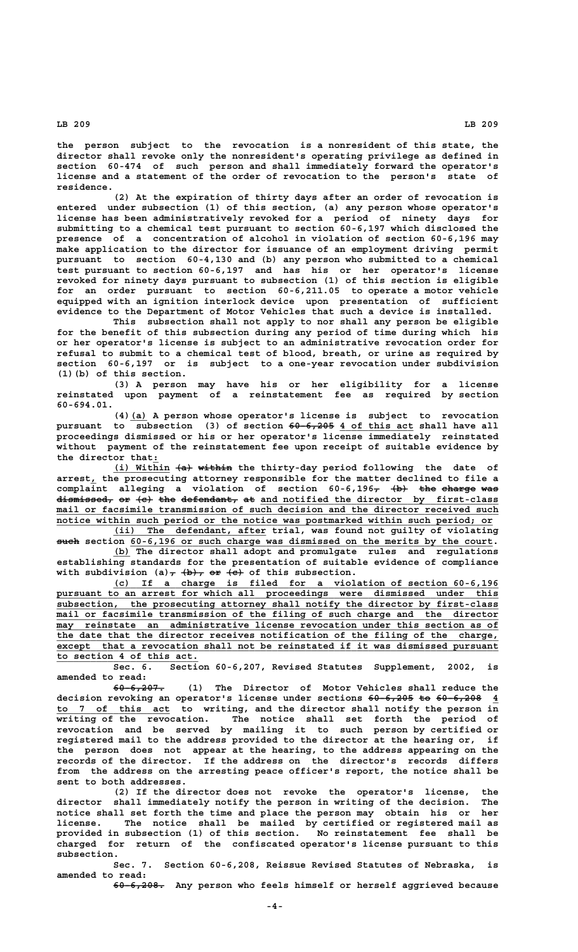**the person subject to the revocation is a nonresident of this state, the director shall revoke only the nonresident's operating privilege as defined in section 60-474 of such person and shall immediately forward the operator's license and a statement of the order of revocation to the person's state of residence.**

**(2) At the expiration of thirty days after an order of revocation is entered under subsection (1) of this section, (a) any person whose operator's license has been administratively revoked for a period of ninety days for submitting to a chemical test pursuant to section 60-6,197 which disclosed the presence of a concentration of alcohol in violation of section 60-6,196 may make application to the director for issuance of an employment driving permit pursuant to section 60-4,130 and (b) any person who submitted to a chemical test pursuant to section 60-6,197 and has his or her operator's license revoked for ninety days pursuant to subsection (1) of this section is eligible for an order pursuant to section 60-6,211.05 to operate a motor vehicle equipped with an ignition interlock device upon presentation of sufficient evidence to the Department of Motor Vehicles that such a device is installed.**

**This subsection shall not apply to nor shall any person be eligible for the benefit of this subsection during any period of time during which his or her operator's license is subject to an administrative revocation order for refusal to submit to a chemical test of blood, breath, or urine as required by section 60-6,197 or is subject to a one-year revocation under subdivision (1)(b) of this section.**

**(3) A person may have his or her eligibility for a license reinstated upon payment of a reinstatement fee as required by section 60-694.01.**

 **\_\_\_ (4)(a) A person whose operator's license is subject to revocation** pursuant to subsection (3) of section  $60-6,205$  4 of this act shall have all **proceedings dismissed or his or her operator's license immediately reinstated without payment of the reinstatement fee upon receipt of suitable evidence by \_ the director that:**

(i) Within  $\{a\}$  within the thirty-day period following the date of  **\_ arrest, the prosecuting attorney responsible for the matter declined to file a** complaint alleging a violation of section 60-6,196<del>, (b) the charge was</del> dismissed, or  $\{e\}$  the defendant, at and notified the director by first-class  $_{\text{mail}}$  or facsimile transmission of such decision and the director received such notice within such period or the notice was postmarked within such period; or

 **\_\_\_\_\_\_\_\_\_\_\_\_\_\_\_\_\_\_\_\_\_\_\_\_\_\_\_ (ii) The defendant, after trial, was found not guilty of violating such section 60-6,196 or such charge was dismissed on the merits by the court.** 

 **\_\_\_ (b) The director shall adopt and promulgate rules and regulations establishing standards for the presentation of suitable evidence of compliance** with subdivision  $(a)$ ,  $(b)$ , or  $\overline{e}$  of this subsection.

 **\_\_\_\_\_\_\_\_\_\_\_\_\_\_\_\_\_\_\_\_\_\_\_\_\_\_\_\_\_\_\_\_\_\_\_\_\_\_\_\_\_\_\_\_\_\_\_\_\_\_\_\_\_\_\_\_\_\_\_\_\_\_\_\_\_\_\_\_ (c) If a charge is filed for a violation of section 60-6,196** pursuant to an arrest for which all proceedings were dismissed under this  **\_\_\_\_\_\_\_\_\_\_\_\_\_\_\_\_\_\_\_\_\_\_\_\_\_\_\_\_\_\_\_\_\_\_\_\_\_\_\_\_\_\_\_\_\_\_\_\_\_\_\_\_\_\_\_\_\_\_\_\_\_\_\_\_\_\_\_\_\_\_\_\_\_\_\_\_\_\_ subsection, the prosecuting attorney shall notify the director by first-class \_\_\_\_\_\_\_\_\_\_\_\_\_\_\_\_\_\_\_\_\_\_\_\_\_\_\_\_\_\_\_\_\_\_\_\_\_\_\_\_\_\_\_\_\_\_\_\_\_\_\_\_\_\_\_\_\_\_\_\_\_\_\_\_\_\_\_\_\_\_\_\_\_\_\_\_\_\_ mail or facsimile transmission of the filing of such charge and the director \_\_\_\_\_\_\_\_\_\_\_\_\_\_\_\_\_\_\_\_\_\_\_\_\_\_\_\_\_\_\_\_\_\_\_\_\_\_\_\_\_\_\_\_\_\_\_\_\_\_\_\_\_\_\_\_\_\_\_\_\_\_\_\_\_\_\_\_\_\_\_\_\_\_\_\_\_\_ may reinstate an administrative license revocation under this section as of \_\_\_\_\_\_\_\_\_\_\_\_\_\_\_\_\_\_\_\_\_\_\_\_\_\_\_\_\_\_\_\_\_\_\_\_\_\_\_\_\_\_\_\_\_\_\_\_\_\_\_\_\_\_\_\_\_\_\_\_\_\_\_\_\_\_\_\_\_\_\_\_\_\_\_\_\_\_ the date that the director receives notification of the filing of the charge, \_\_\_\_\_\_\_\_\_\_\_\_\_\_\_\_\_\_\_\_\_\_\_\_\_\_\_\_\_\_\_\_\_\_\_\_\_\_\_\_\_\_\_\_\_\_\_\_\_\_\_\_\_\_\_\_\_\_\_\_\_\_\_\_\_\_\_\_\_\_\_\_\_\_\_\_\_\_ except that a revocation shall not be reinstated if it was dismissed pursuant \_\_\_\_\_\_\_\_\_\_\_\_\_\_\_\_\_\_\_\_\_\_\_\_\_ to section 4 of this act.**

**Sec. 6. Section 60-6,207, Revised Statutes Supplement, 2002, is amended to read:**

 **————————— 60-6,207. (1) The Director of Motor Vehicles shall reduce the** decision revoking an operator's license under sections  $60-6,205$  to  $60-6,208$  4  **\_\_\_\_\_\_\_\_\_\_\_\_\_\_\_\_\_\_\_\_ to 7 of this act to writing, and the director shall notify the person in writing of the revocation. The notice shall set forth the period of revocation and be served by mailing it to such person by certified or registered mail to the address provided to the director at the hearing or, if the person does not appear at the hearing, to the address appearing on the records of the director. If the address on the director's records differs from the address on the arresting peace officer's report, the notice shall be sent to both addresses.**

**(2) If the director does not revoke the operator's license, the director shall immediately notify the person in writing of the decision. The notice shall set forth the time and place the person may obtain his or her license. The notice shall be mailed by certified or registered mail as provided in subsection (1) of this section. No reinstatement fee shall be charged for return of the confiscated operator's license pursuant to this subsection.**

**Sec. 7. Section 60-6,208, Reissue Revised Statutes of Nebraska, is amended to read:**

 **————————— 60-6,208. Any person who feels himself or herself aggrieved because**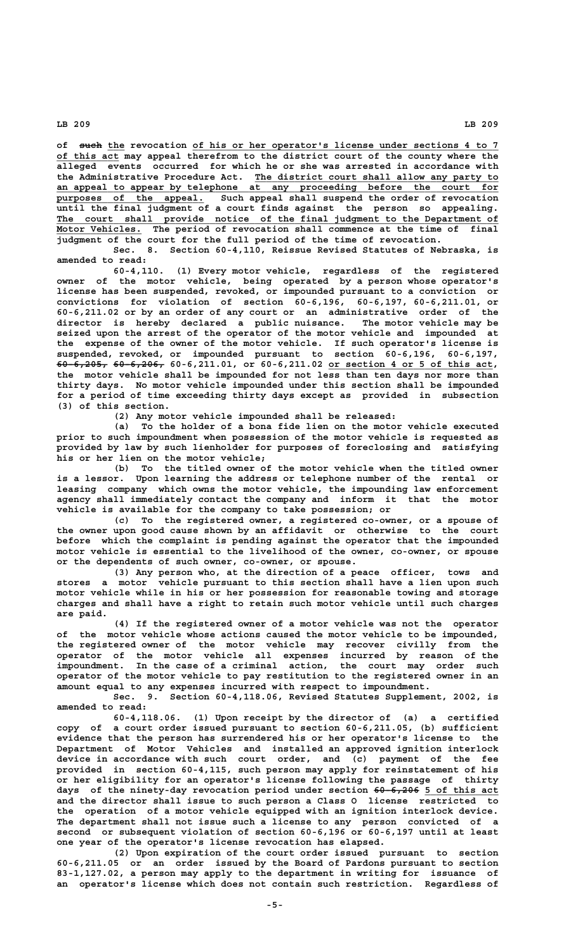of such the revocation of his or her operator's license under sections 4 to 7  **\_\_\_\_\_\_\_\_\_\_\_ of this act may appeal therefrom to the district court of the county where the alleged events occurred for which he or she was arrested in accordance with \_\_\_\_\_\_\_\_\_\_\_\_\_\_\_\_\_\_\_\_\_\_\_\_\_\_\_\_\_\_\_\_\_\_\_\_\_\_\_\_\_\_\_ the Administrative Procedure Act. The district court shall allow any party to \_\_\_\_\_\_\_\_\_\_\_\_\_\_\_\_\_\_\_\_\_\_\_\_\_\_\_\_\_\_\_\_\_\_\_\_\_\_\_\_\_\_\_\_\_\_\_\_\_\_\_\_\_\_\_\_\_\_\_\_\_\_\_\_\_\_\_\_\_\_\_\_\_\_\_\_\_\_ an appeal to appear by telephone at any proceeding before the court for \_\_\_\_\_\_\_\_\_\_\_\_\_\_\_\_\_\_\_\_\_\_\_\_\_\_ purposes of the appeal. Such appeal shall suspend the order of revocation until the final judgment of a court finds against the person so appealing. \_\_\_\_\_\_\_\_\_\_\_\_\_\_\_\_\_\_\_\_\_\_\_\_\_\_\_\_\_\_\_\_\_\_\_\_\_\_\_\_\_\_\_\_\_\_\_\_\_\_\_\_\_\_\_\_\_\_\_\_\_\_\_\_\_\_\_\_\_\_\_\_\_\_\_\_\_\_ The court shall provide notice of the final judgment to the Department of** Motor Vehicles. The period of revocation shall commence at the time of final **judgment of the court for the full period of the time of revocation.**

**Sec. 8. Section 60-4,110, Reissue Revised Statutes of Nebraska, is amended to read:**

**60-4,110. (1) Every motor vehicle, regardless of the registered owner of the motor vehicle, being operated by a person whose operator's license has been suspended, revoked, or impounded pursuant to a conviction or convictions for violation of section 60-6,196, 60-6,197, 60-6,211.01, or 60-6,211.02 or by an order of any court or an administrative order of the director is hereby declared a public nuisance. The motor vehicle may be seized upon the arrest of the operator of the motor vehicle and impounded at the expense of the owner of the motor vehicle. If such operator's license is suspended, revoked, or impounded pursuant to section 60-6,196, 60-6,197, ————————— ————————— \_\_\_\_\_\_\_\_\_\_\_\_\_\_\_\_\_\_\_\_\_\_\_\_\_\_\_\_\_ 60-6,205, 60-6,206, 60-6,211.01, or 60-6,211.02 or section 4 or 5 of this act, the motor vehicle shall be impounded for not less than ten days nor more than thirty days. No motor vehicle impounded under this section shall be impounded for a period of time exceeding thirty days except as provided in subsection (3) of this section.**

**(2) Any motor vehicle impounded shall be released:**

**(a) To the holder of a bona fide lien on the motor vehicle executed prior to such impoundment when possession of the motor vehicle is requested as provided by law by such lienholder for purposes of foreclosing and satisfying his or her lien on the motor vehicle;**

**(b) To the titled owner of the motor vehicle when the titled owner is a lessor. Upon learning the address or telephone number of the rental or leasing company which owns the motor vehicle, the impounding law enforcement agency shall immediately contact the company and inform it that the motor vehicle is available for the company to take possession; or**

**(c) To the registered owner, a registered co-owner, or a spouse of the owner upon good cause shown by an affidavit or otherwise to the court before which the complaint is pending against the operator that the impounded motor vehicle is essential to the livelihood of the owner, co-owner, or spouse or the dependents of such owner, co-owner, or spouse.**

**(3) Any person who, at the direction of a peace officer, tows and stores a motor vehicle pursuant to this section shall have a lien upon such motor vehicle while in his or her possession for reasonable towing and storage charges and shall have a right to retain such motor vehicle until such charges are paid.**

**(4) If the registered owner of a motor vehicle was not the operator of the motor vehicle whose actions caused the motor vehicle to be impounded, the registered owner of the motor vehicle may recover civilly from the operator of the motor vehicle all expenses incurred by reason of the impoundment. In the case of a criminal action, the court may order such operator of the motor vehicle to pay restitution to the registered owner in an amount equal to any expenses incurred with respect to impoundment.**

**Sec. 9. Section 60-4,118.06, Revised Statutes Supplement, 2002, is amended to read:**

**60-4,118.06. (1) Upon receipt by the director of (a) a certified copy of a court order issued pursuant to section 60-6,211.05, (b) sufficient evidence that the person has surrendered his or her operator's license to the Department of Motor Vehicles and installed an approved ignition interlock device in accordance with such court order, and (c) payment of the fee provided in section 60-4,115, such person may apply for reinstatement of his or her eligibility for an operator's license following the passage of thirty** days of the ninety-day revocation period under section  $60-6,206$  5 of this act **and the director shall issue to such person a Class O license restricted to the operation of a motor vehicle equipped with an ignition interlock device. The department shall not issue such a license to any person convicted of a second or subsequent violation of section 60-6,196 or 60-6,197 until at least one year of the operator's license revocation has elapsed.**

**(2) Upon expiration of the court order issued pursuant to section 60-6,211.05 or an order issued by the Board of Pardons pursuant to section 83-1,127.02, a person may apply to the department in writing for issuance of an operator's license which does not contain such restriction. Regardless of**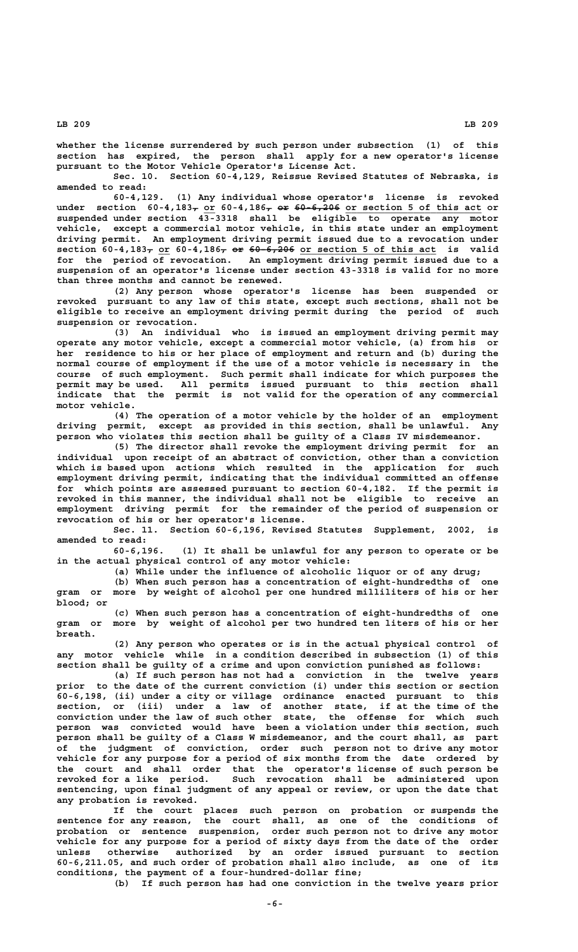**whether the license surrendered by such person under subsection (1) of this section has expired, the person shall apply for a new operator's license pursuant to the Motor Vehicle Operator's License Act.**

**Sec. 10. Section 60-4,129, Reissue Revised Statutes of Nebraska, is amended to read:**

**60-4,129. (1) Any individual whose operator's license is revoked** under section 60-4,183<sub>7</sub> or 60-4,186<sub>7</sub> or 60-6,206 or section 5 of this act or **suspended under section 43-3318 shall be eligible to operate any motor vehicle, except a commercial motor vehicle, in this state under an employment driving permit. An employment driving permit issued due to a revocation under**  $\text{section } 60-4,183_{\tau} \text{ or } 60-4,186_{\tau} \text{ or } 60-6,206 \text{ or section } 5 \text{ of this act }$  is valid **for the period of revocation. An employment driving permit issued due to a suspension of an operator's license under section 43-3318 is valid for no more than three months and cannot be renewed.**

**(2) Any person whose operator's license has been suspended or revoked pursuant to any law of this state, except such sections, shall not be eligible to receive an employment driving permit during the period of such suspension or revocation.**

**(3) An individual who is issued an employment driving permit may operate any motor vehicle, except a commercial motor vehicle, (a) from his or her residence to his or her place of employment and return and (b) during the normal course of employment if the use of a motor vehicle is necessary in the course of such employment. Such permit shall indicate for which purposes the permit may be used. All permits issued pursuant to this section shall indicate that the permit is not valid for the operation of any commercial motor vehicle.**

**(4) The operation of a motor vehicle by the holder of an employment driving permit, except as provided in this section, shall be unlawful. Any person who violates this section shall be guilty of a Class IV misdemeanor.**

**(5) The director shall revoke the employment driving permit for an individual upon receipt of an abstract of conviction, other than a conviction which is based upon actions which resulted in the application for such employment driving permit, indicating that the individual committed an offense for which points are assessed pursuant to section 60-4,182. If the permit is revoked in this manner, the individual shall not be eligible to receive an employment driving permit for the remainder of the period of suspension or revocation of his or her operator's license.**

**Sec. 11. Section 60-6,196, Revised Statutes Supplement, 2002, is amended to read:**

**60-6,196. (1) It shall be unlawful for any person to operate or be in the actual physical control of any motor vehicle:**

**(a) While under the influence of alcoholic liquor or of any drug;**

**(b) When such person has a concentration of eight-hundredths of one gram or more by weight of alcohol per one hundred milliliters of his or her blood; or**

**(c) When such person has a concentration of eight-hundredths of one gram or more by weight of alcohol per two hundred ten liters of his or her breath.**

**(2) Any person who operates or is in the actual physical control of any motor vehicle while in a condition described in subsection (1) of this section shall be guilty of a crime and upon conviction punished as follows:**

**(a) If such person has not had a conviction in the twelve years prior to the date of the current conviction (i) under this section or section 60-6,198, (ii) under a city or village ordinance enacted pursuant to this section, or (iii) under a law of another state, if at the time of the conviction under the law of such other state, the offense for which such person was convicted would have been a violation under this section, such person shall be guilty of a Class W misdemeanor, and the court shall, as part of the judgment of conviction, order such person not to drive any motor vehicle for any purpose for a period of six months from the date ordered by the court and shall order that the operator's license of such person be revoked for a like period. Such revocation shall be administered upon sentencing, upon final judgment of any appeal or review, or upon the date that any probation is revoked.**

**If the court places such person on probation or suspends the sentence for any reason, the court shall, as one of the conditions of probation or sentence suspension, order such person not to drive any motor vehicle for any purpose for a period of sixty days from the date of the order unless otherwise authorized by an order issued pursuant to section 60-6,211.05, and such order of probation shall also include, as one of its conditions, the payment of a four-hundred-dollar fine;**

**(b) If such person has had one conviction in the twelve years prior**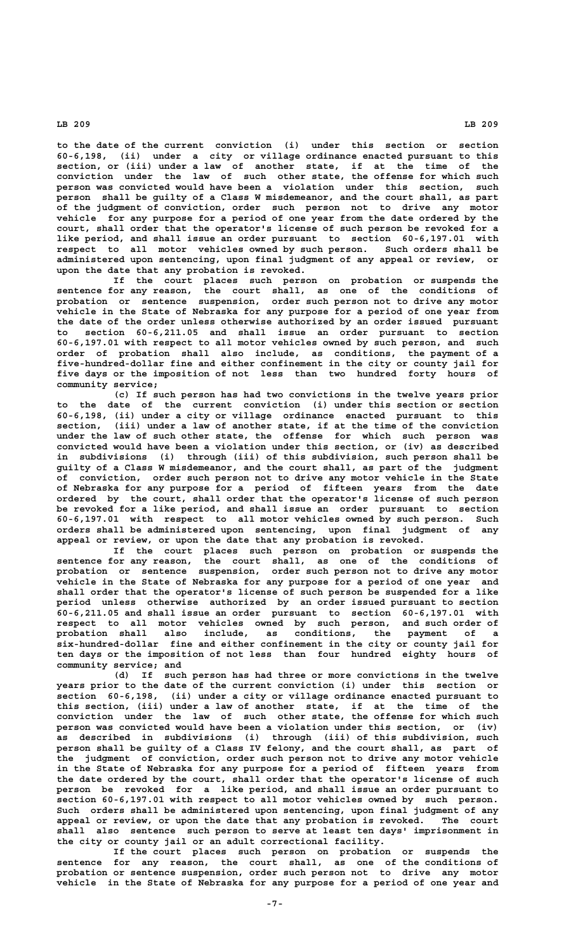**to the date of the current conviction (i) under this section or section 60-6,198, (ii) under a city or village ordinance enacted pursuant to this section, or (iii) under a law of another state, if at the time of the conviction under the law of such other state, the offense for which such person was convicted would have been a violation under this section, such person shall be guilty of a Class W misdemeanor, and the court shall, as part of the judgment of conviction, order such person not to drive any motor vehicle for any purpose for a period of one year from the date ordered by the court, shall order that the operator's license of such person be revoked for a like period, and shall issue an order pursuant to section 60-6,197.01 with respect to all motor vehicles owned by such person. Such orders shall be administered upon sentencing, upon final judgment of any appeal or review, or upon the date that any probation is revoked.**

**If the court places such person on probation or suspends the sentence for any reason, the court shall, as one of the conditions of probation or sentence suspension, order such person not to drive any motor vehicle in the State of Nebraska for any purpose for a period of one year from the date of the order unless otherwise authorized by an order issued pursuant to section 60-6,211.05 and shall issue an order pursuant to section 60-6,197.01 with respect to all motor vehicles owned by such person, and such order of probation shall also include, as conditions, the payment of a five-hundred-dollar fine and either confinement in the city or county jail for five days or the imposition of not less than two hundred forty hours of community service;**

**(c) If such person has had two convictions in the twelve years prior to the date of the current conviction (i) under this section or section 60-6,198, (ii) under a city or village ordinance enacted pursuant to this section, (iii) under a law of another state, if at the time of the conviction under the law of such other state, the offense for which such person was convicted would have been a violation under this section, or (iv) as described in subdivisions (i) through (iii) of this subdivision, such person shall be guilty of a Class W misdemeanor, and the court shall, as part of the judgment of conviction, order such person not to drive any motor vehicle in the State of Nebraska for any purpose for a period of fifteen years from the date ordered by the court, shall order that the operator's license of such person be revoked for a like period, and shall issue an order pursuant to section 60-6,197.01 with respect to all motor vehicles owned by such person. Such orders shall be administered upon sentencing, upon final judgment of any appeal or review, or upon the date that any probation is revoked.**

**If the court places such person on probation or suspends the sentence for any reason, the court shall, as one of the conditions of probation or sentence suspension, order such person not to drive any motor vehicle in the State of Nebraska for any purpose for a period of one year and shall order that the operator's license of such person be suspended for a like period unless otherwise authorized by an order issued pursuant to section 60-6,211.05 and shall issue an order pursuant to section 60-6,197.01 with respect to all motor vehicles owned by such person, and such order of probation shall also include, as conditions, the payment of a six-hundred-dollar fine and either confinement in the city or county jail for ten days or the imposition of not less than four hundred eighty hours of community service; and**

**(d) If such person has had three or more convictions in the twelve years prior to the date of the current conviction (i) under this section or section 60-6,198, (ii) under a city or village ordinance enacted pursuant to this section, (iii) under a law of another state, if at the time of the conviction under the law of such other state, the offense for which such person was convicted would have been a violation under this section, or (iv) as described in subdivisions (i) through (iii) of this subdivision, such person shall be guilty of a Class IV felony, and the court shall, as part of the judgment of conviction, order such person not to drive any motor vehicle in the State of Nebraska for any purpose for a period of fifteen years from the date ordered by the court, shall order that the operator's license of such person be revoked for a like period, and shall issue an order pursuant to section 60-6,197.01 with respect to all motor vehicles owned by such person. Such orders shall be administered upon sentencing, upon final judgment of any appeal or review, or upon the date that any probation is revoked. The court shall also sentence such person to serve at least ten days' imprisonment in the city or county jail or an adult correctional facility.**

**If the court places such person on probation or suspends the sentence for any reason, the court shall, as one of the conditions of probation or sentence suspension, order such person not to drive any motor vehicle in the State of Nebraska for any purpose for a period of one year and**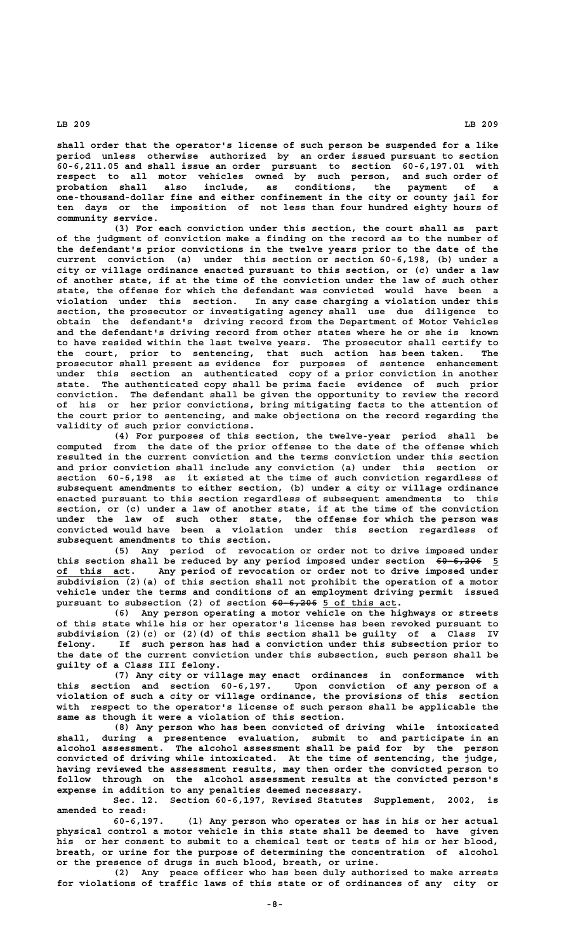**shall order that the operator's license of such person be suspended for a like period unless otherwise authorized by an order issued pursuant to section 60-6,211.05 and shall issue an order pursuant to section 60-6,197.01 with respect to all motor vehicles owned by such person, and such order of probation shall also include, as conditions, the payment of a one-thousand-dollar fine and either confinement in the city or county jail for ten days or the imposition of not less than four hundred eighty hours of community service.**

**(3) For each conviction under this section, the court shall as part of the judgment of conviction make a finding on the record as to the number of the defendant's prior convictions in the twelve years prior to the date of the current conviction (a) under this section or section 60-6,198, (b) under a city or village ordinance enacted pursuant to this section, or (c) under a law of another state, if at the time of the conviction under the law of such other state, the offense for which the defendant was convicted would have been a violation under this section. In any case charging a violation under this section, the prosecutor or investigating agency shall use due diligence to obtain the defendant's driving record from the Department of Motor Vehicles and the defendant's driving record from other states where he or she is known to have resided within the last twelve years. The prosecutor shall certify to the court, prior to sentencing, that such action has been taken. The prosecutor shall present as evidence for purposes of sentence enhancement under this section an authenticated copy of a prior conviction in another state. The authenticated copy shall be prima facie evidence of such prior conviction. The defendant shall be given the opportunity to review the record of his or her prior convictions, bring mitigating facts to the attention of the court prior to sentencing, and make objections on the record regarding the validity of such prior convictions.**

**(4) For purposes of this section, the twelve-year period shall be computed from the date of the prior offense to the date of the offense which resulted in the current conviction and the terms conviction under this section and prior conviction shall include any conviction (a) under this section or section 60-6,198 as it existed at the time of such conviction regardless of subsequent amendments to either section, (b) under a city or village ordinance enacted pursuant to this section regardless of subsequent amendments to this section, or (c) under a law of another state, if at the time of the conviction under the law of such other state, the offense for which the person was convicted would have been a violation under this section regardless of subsequent amendments to this section.**

**(5) Any period of revocation or order not to drive imposed under** this section shall be reduced by any period imposed under section  $60-6,206$  5  **\_\_\_\_\_\_\_\_\_\_\_\_\_ of this act. Any period of revocation or order not to drive imposed under subdivision (2)(a) of this section shall not prohibit the operation of a motor vehicle under the terms and conditions of an employment driving permit issued** pursuant to subsection (2) of section  $60-6,206$  5 of this act.

**(6) Any person operating a motor vehicle on the highways or streets of this state while his or her operator's license has been revoked pursuant to subdivision (2)(c) or (2)(d) of this section shall be guilty of a Class IV felony. If such person has had a conviction under this subsection prior to the date of the current conviction under this subsection, such person shall be guilty of a Class III felony.**

**(7) Any city or village may enact ordinances in conformance with this section and section 60-6,197. Upon conviction of any person of a violation of such a city or village ordinance, the provisions of this section with respect to the operator's license of such person shall be applicable the same as though it were a violation of this section.**

**(8) Any person who has been convicted of driving while intoxicated shall, during a presentence evaluation, submit to and participate in an alcohol assessment. The alcohol assessment shall be paid for by the person convicted of driving while intoxicated. At the time of sentencing, the judge, having reviewed the assessment results, may then order the convicted person to follow through on the alcohol assessment results at the convicted person's expense in addition to any penalties deemed necessary.**

**Sec. 12. Section 60-6,197, Revised Statutes Supplement, 2002, is amended to read:**

**60-6,197. (1) Any person who operates or has in his or her actual physical control a motor vehicle in this state shall be deemed to have given his or her consent to submit to a chemical test or tests of his or her blood, breath, or urine for the purpose of determining the concentration of alcohol or the presence of drugs in such blood, breath, or urine.**

**(2) Any peace officer who has been duly authorized to make arrests for violations of traffic laws of this state or of ordinances of any city or**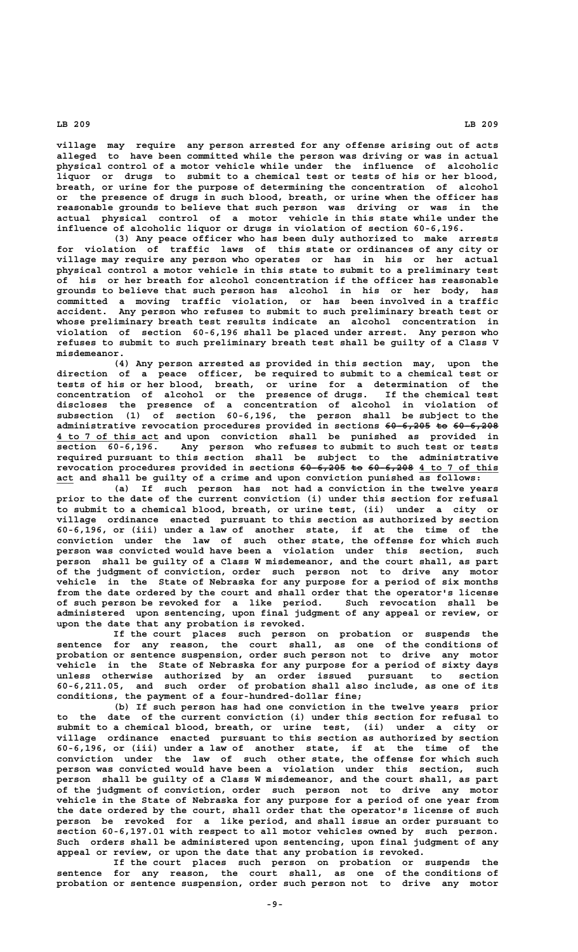**village may require any person arrested for any offense arising out of acts alleged to have been committed while the person was driving or was in actual physical control of a motor vehicle while under the influence of alcoholic liquor or drugs to submit to a chemical test or tests of his or her blood, breath, or urine for the purpose of determining the concentration of alcohol or the presence of drugs in such blood, breath, or urine when the officer has reasonable grounds to believe that such person was driving or was in the actual physical control of a motor vehicle in this state while under the influence of alcoholic liquor or drugs in violation of section 60-6,196.**

**(3) Any peace officer who has been duly authorized to make arrests for violation of traffic laws of this state or ordinances of any city or village may require any person who operates or has in his or her actual physical control a motor vehicle in this state to submit to a preliminary test of his or her breath for alcohol concentration if the officer has reasonable grounds to believe that such person has alcohol in his or her body, has committed a moving traffic violation, or has been involved in a traffic accident. Any person who refuses to submit to such preliminary breath test or whose preliminary breath test results indicate an alcohol concentration in violation of section 60-6,196 shall be placed under arrest. Any person who refuses to submit to such preliminary breath test shall be guilty of a Class V misdemeanor.**

**(4) Any person arrested as provided in this section may, upon the direction of a peace officer, be required to submit to a chemical test or tests of his or her blood, breath, or urine for a determination of the concentration of alcohol or the presence of drugs. If the chemical test discloses the presence of a concentration of alcohol in violation of subsection (1) of section 60-6,196, the person shall be subject to the administrative revocation procedures provided in sections 60-6,205 to 60-6,208 ———————— —— ———————— \_\_\_\_\_\_\_\_\_\_\_\_\_\_\_\_\_\_ 4 to 7 of this act and upon conviction shall be punished as provided in section 60-6,196. Any person who refuses to submit to such test or tests required pursuant to this section shall be subject to the administrative** revocation procedures provided in sections <del>60-6,205 to 60-6,208</del> 4 to 7 of this  **\_\_\_ act and shall be guilty of a crime and upon conviction punished as follows:**

**(a) If such person has not had a conviction in the twelve years prior to the date of the current conviction (i) under this section for refusal to submit to a chemical blood, breath, or urine test, (ii) under a city or village ordinance enacted pursuant to this section as authorized by section 60-6,196, or (iii) under a law of another state, if at the time of the conviction under the law of such other state, the offense for which such person was convicted would have been a violation under this section, such person shall be guilty of a Class W misdemeanor, and the court shall, as part of the judgment of conviction, order such person not to drive any motor vehicle in the State of Nebraska for any purpose for a period of six months from the date ordered by the court and shall order that the operator's license of such person be revoked for a like period. Such revocation shall be administered upon sentencing, upon final judgment of any appeal or review, or upon the date that any probation is revoked.**

**If the court places such person on probation or suspends the sentence for any reason, the court shall, as one of the conditions of probation or sentence suspension, order such person not to drive any motor vehicle in the State of Nebraska for any purpose for a period of sixty days unless otherwise authorized by an order issued pursuant to section 60-6,211.05, and such order of probation shall also include, as one of its conditions, the payment of a four-hundred-dollar fine;**

**(b) If such person has had one conviction in the twelve years prior to the date of the current conviction (i) under this section for refusal to submit to a chemical blood, breath, or urine test, (ii) under a city or village ordinance enacted pursuant to this section as authorized by section 60-6,196, or (iii) under a law of another state, if at the time of the conviction under the law of such other state, the offense for which such person was convicted would have been a violation under this section, such person shall be guilty of a Class W misdemeanor, and the court shall, as part of the judgment of conviction, order such person not to drive any motor vehicle in the State of Nebraska for any purpose for a period of one year from the date ordered by the court, shall order that the operator's license of such person be revoked for a like period, and shall issue an order pursuant to section 60-6,197.01 with respect to all motor vehicles owned by such person. Such orders shall be administered upon sentencing, upon final judgment of any appeal or review, or upon the date that any probation is revoked.**

**If the court places such person on probation or suspends the sentence for any reason, the court shall, as one of the conditions of probation or sentence suspension, order such person not to drive any motor**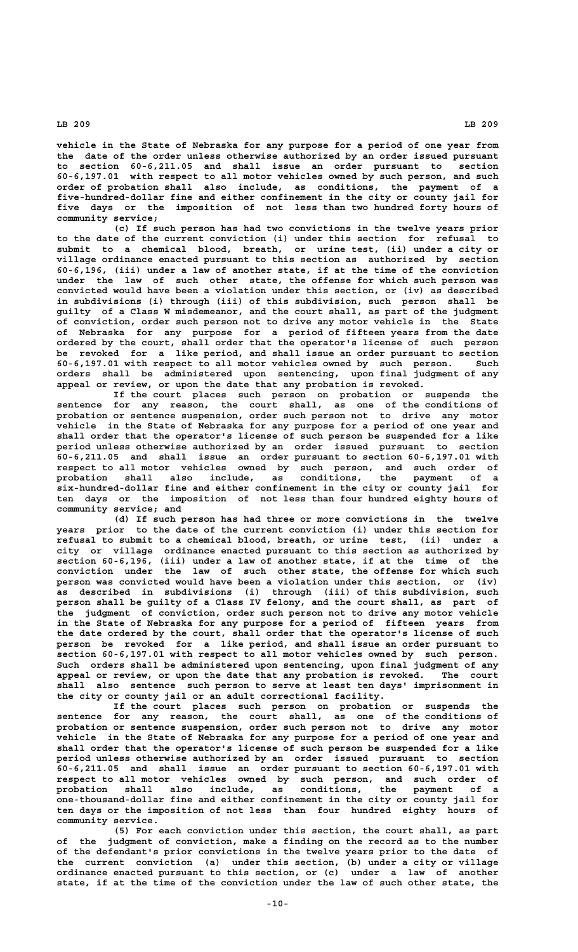**vehicle in the State of Nebraska for any purpose for a period of one year from the date of the order unless otherwise authorized by an order issued pursuant to section 60-6,211.05 and shall issue an order pursuant to section 60-6,197.01 with respect to all motor vehicles owned by such person, and such order of probation shall also include, as conditions, the payment of a five-hundred-dollar fine and either confinement in the city or county jail for five days or the imposition of not less than two hundred forty hours of community service;**

**(c) If such person has had two convictions in the twelve years prior to the date of the current conviction (i) under this section for refusal to submit to a chemical blood, breath, or urine test, (ii) under a city or village ordinance enacted pursuant to this section as authorized by section 60-6,196, (iii) under a law of another state, if at the time of the conviction under the law of such other state, the offense for which such person was convicted would have been a violation under this section, or (iv) as described in subdivisions (i) through (iii) of this subdivision, such person shall be guilty of a Class W misdemeanor, and the court shall, as part of the judgment of conviction, order such person not to drive any motor vehicle in the State of Nebraska for any purpose for a period of fifteen years from the date ordered by the court, shall order that the operator's license of such person be revoked for a like period, and shall issue an order pursuant to section 60-6,197.01 with respect to all motor vehicles owned by such person. Such orders shall be administered upon sentencing, upon final judgment of any appeal or review, or upon the date that any probation is revoked.**

**If the court places such person on probation or suspends the sentence for any reason, the court shall, as one of the conditions of probation or sentence suspension, order such person not to drive any motor vehicle in the State of Nebraska for any purpose for a period of one year and shall order that the operator's license of such person be suspended for a like period unless otherwise authorized by an order issued pursuant to section 60-6,211.05 and shall issue an order pursuant to section 60-6,197.01 with respect to all motor vehicles owned by such person, and such order of probation shall also include, as conditions, the payment of a six-hundred-dollar fine and either confinement in the city or county jail for ten days or the imposition of not less than four hundred eighty hours of community service; and**

**(d) If such person has had three or more convictions in the twelve years prior to the date of the current conviction (i) under this section for refusal to submit to a chemical blood, breath, or urine test, (ii) under a city or village ordinance enacted pursuant to this section as authorized by section 60-6,196, (iii) under a law of another state, if at the time of the conviction under the law of such other state, the offense for which such person was convicted would have been a violation under this section, or (iv) as described in subdivisions (i) through (iii) of this subdivision, such person shall be guilty of a Class IV felony, and the court shall, as part of the judgment of conviction, order such person not to drive any motor vehicle in the State of Nebraska for any purpose for a period of fifteen years from the date ordered by the court, shall order that the operator's license of such person be revoked for a like period, and shall issue an order pursuant to section 60-6,197.01 with respect to all motor vehicles owned by such person. Such orders shall be administered upon sentencing, upon final judgment of any appeal or review, or upon the date that any probation is revoked. The court shall also sentence such person to serve at least ten days' imprisonment in the city or county jail or an adult correctional facility.**

**If the court places such person on probation or suspends the sentence for any reason, the court shall, as one of the conditions of probation or sentence suspension, order such person not to drive any motor vehicle in the State of Nebraska for any purpose for a period of one year and shall order that the operator's license of such person be suspended for a like period unless otherwise authorized by an order issued pursuant to section 60-6,211.05 and shall issue an order pursuant to section 60-6,197.01 with respect to all motor vehicles owned by such person, and such order of probation shall also include, as conditions, the payment of a one-thousand-dollar fine and either confinement in the city or county jail for ten days or the imposition of not less than four hundred eighty hours of community service.**

**(5) For each conviction under this section, the court shall, as part of the judgment of conviction, make a finding on the record as to the number of the defendant's prior convictions in the twelve years prior to the date of the current conviction (a) under this section, (b) under a city or village ordinance enacted pursuant to this section, or (c) under a law of another state, if at the time of the conviction under the law of such other state, the**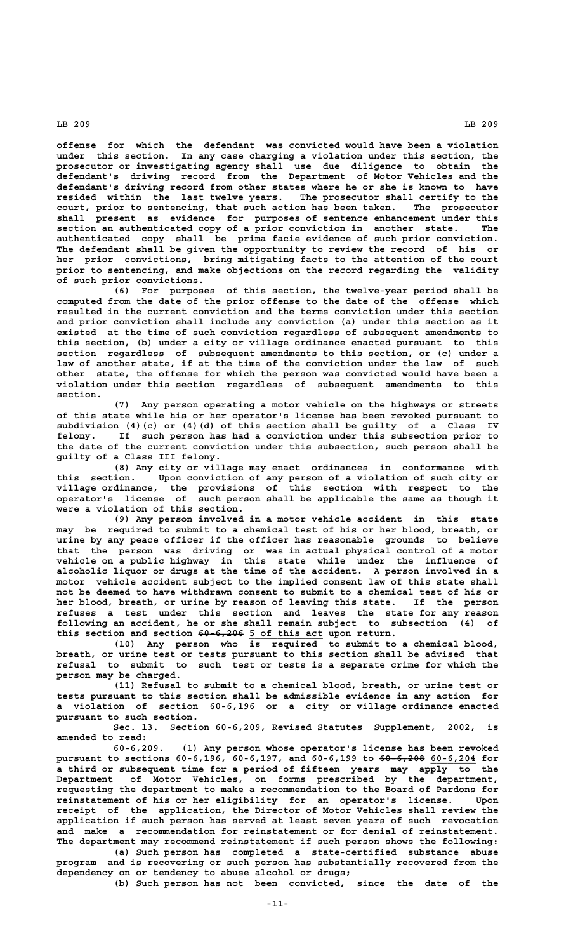**offense for which the defendant was convicted would have been a violation under this section. In any case charging a violation under this section, the prosecutor or investigating agency shall use due diligence to obtain the defendant's driving record from the Department of Motor Vehicles and the defendant's driving record from other states where he or she is known to have resided within the last twelve years. The prosecutor shall certify to the court, prior to sentencing, that such action has been taken. The prosecutor shall present as evidence for purposes of sentence enhancement under this section an authenticated copy of a prior conviction in another state. The authenticated copy shall be prima facie evidence of such prior conviction. The defendant shall be given the opportunity to review the record of his or her prior convictions, bring mitigating facts to the attention of the court prior to sentencing, and make objections on the record regarding the validity of such prior convictions.**

**(6) For purposes of this section, the twelve-year period shall be computed from the date of the prior offense to the date of the offense which resulted in the current conviction and the terms conviction under this section and prior conviction shall include any conviction (a) under this section as it existed at the time of such conviction regardless of subsequent amendments to this section, (b) under a city or village ordinance enacted pursuant to this section regardless of subsequent amendments to this section, or (c) under a law of another state, if at the time of the conviction under the law of such other state, the offense for which the person was convicted would have been a violation under this section regardless of subsequent amendments to this section.**

**(7) Any person operating a motor vehicle on the highways or streets of this state while his or her operator's license has been revoked pursuant to subdivision (4)(c) or (4)(d) of this section shall be guilty of a Class IV felony. If such person has had a conviction under this subsection prior to the date of the current conviction under this subsection, such person shall be guilty of a Class III felony.**

**(8) Any city or village may enact ordinances in conformance with this section. Upon conviction of any person of a violation of such city or village ordinance, the provisions of this section with respect to the operator's license of such person shall be applicable the same as though it were a violation of this section.**

**(9) Any person involved in a motor vehicle accident in this state may be required to submit to a chemical test of his or her blood, breath, or urine by any peace officer if the officer has reasonable grounds to believe that the person was driving or was in actual physical control of a motor vehicle on a public highway in this state while under the influence of alcoholic liquor or drugs at the time of the accident. A person involved in a motor vehicle accident subject to the implied consent law of this state shall not be deemed to have withdrawn consent to submit to a chemical test of his or her blood, breath, or urine by reason of leaving this state. If the person refuses a test under this section and leaves the state for any reason following an accident, he or she shall remain subject to subsection (4) of** this section and section  $60-6,206$  5 of this act upon return.

**(10) Any person who is required to submit to a chemical blood, breath, or urine test or tests pursuant to this section shall be advised that refusal to submit to such test or tests is a separate crime for which the person may be charged.**

**(11) Refusal to submit to a chemical blood, breath, or urine test or tests pursuant to this section shall be admissible evidence in any action for a violation of section 60-6,196 or a city or village ordinance enacted pursuant to such section.**

**Sec. 13. Section 60-6,209, Revised Statutes Supplement, 2002, is amended to read:**

**60-6,209. (1) Any person whose operator's license has been revoked pursuant to sections 60-6,196, 60-6,197, and 60-6,199 to <del>60 6,208</del> 60-6,204 for a third or subsequent time for a period of fifteen years may apply to the Department of Motor Vehicles, on forms prescribed by the department, requesting the department to make a recommendation to the Board of Pardons for reinstatement of his or her eligibility for an operator's license. Upon receipt of the application, the Director of Motor Vehicles shall review the application if such person has served at least seven years of such revocation and make a recommendation for reinstatement or for denial of reinstatement. The department may recommend reinstatement if such person shows the following:**

**(a) Such person has completed a state-certified substance abuse program and is recovering or such person has substantially recovered from the dependency on or tendency to abuse alcohol or drugs;**

**(b) Such person has not been convicted, since the date of the**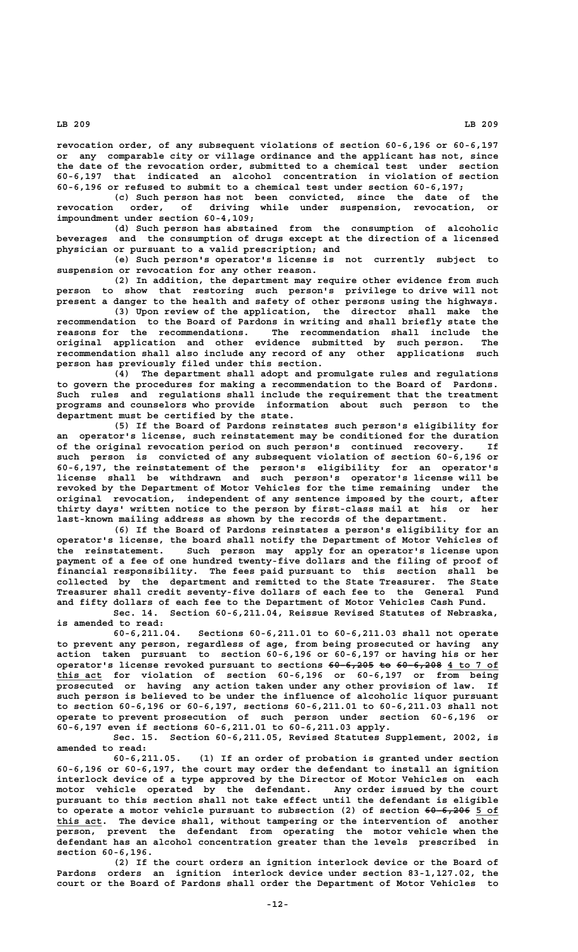**revocation order, of any subsequent violations of section 60-6,196 or 60-6,197 or any comparable city or village ordinance and the applicant has not, since the date of the revocation order, submitted to a chemical test under section 60-6,197 that indicated an alcohol concentration in violation of section 60-6,196 or refused to submit to a chemical test under section 60-6,197;**

**(c) Such person has not been convicted, since the date of the revocation order, of driving while under suspension, revocation, or impoundment under section 60-4,109;**

**(d) Such person has abstained from the consumption of alcoholic beverages and the consumption of drugs except at the direction of a licensed physician or pursuant to a valid prescription; and**

**(e) Such person's operator's license is not currently subject to suspension or revocation for any other reason.**

**(2) In addition, the department may require other evidence from such person to show that restoring such person's privilege to drive will not present a danger to the health and safety of other persons using the highways.**

**(3) Upon review of the application, the director shall make the recommendation to the Board of Pardons in writing and shall briefly state the reasons for the recommendations. The recommendation shall include the original application and other evidence submitted by such person. The recommendation shall also include any record of any other applications such person has previously filed under this section.**

**(4) The department shall adopt and promulgate rules and regulations to govern the procedures for making a recommendation to the Board of Pardons. Such rules and regulations shall include the requirement that the treatment programs and counselors who provide information about such person to the department must be certified by the state.**

**(5) If the Board of Pardons reinstates such person's eligibility for an operator's license, such reinstatement may be conditioned for the duration of the original revocation period on such person's continued recovery. If such person is convicted of any subsequent violation of section 60-6,196 or 60-6,197, the reinstatement of the person's eligibility for an operator's license shall be withdrawn and such person's operator's license will be revoked by the Department of Motor Vehicles for the time remaining under the original revocation, independent of any sentence imposed by the court, after thirty days' written notice to the person by first-class mail at his or her last-known mailing address as shown by the records of the department.**

**(6) If the Board of Pardons reinstates a person's eligibility for an operator's license, the board shall notify the Department of Motor Vehicles of the reinstatement. Such person may apply for an operator's license upon payment of a fee of one hundred twenty-five dollars and the filing of proof of financial responsibility. The fees paid pursuant to this section shall be collected by the department and remitted to the State Treasurer. The State Treasurer shall credit seventy-five dollars of each fee to the General Fund and fifty dollars of each fee to the Department of Motor Vehicles Cash Fund.**

**Sec. 14. Section 60-6,211.04, Reissue Revised Statutes of Nebraska, is amended to read:**

**60-6,211.04. Sections 60-6,211.01 to 60-6,211.03 shall not operate to prevent any person, regardless of age, from being prosecuted or having any action taken pursuant to section 60-6,196 or 60-6,197 or having his or her operator's license revoked pursuant to sections**  $60-6,205$  **to**  $60-6,208$  **4 to 7 of \_\_\_\_\_\_\_\_ this act for violation of section 60-6,196 or 60-6,197 or from being prosecuted or having any action taken under any other provision of law. If such person is believed to be under the influence of alcoholic liquor pursuant to section 60-6,196 or 60-6,197, sections 60-6,211.01 to 60-6,211.03 shall not operate to prevent prosecution of such person under section 60-6,196 or 60-6,197 even if sections 60-6,211.01 to 60-6,211.03 apply.**

**Sec. 15. Section 60-6,211.05, Revised Statutes Supplement, 2002, is amended to read:**

**60-6,211.05. (1) If an order of probation is granted under section 60-6,196 or 60-6,197, the court may order the defendant to install an ignition interlock device of a type approved by the Director of Motor Vehicles on each motor vehicle operated by the defendant. Any order issued by the court pursuant to this section shall not take effect until the defendant is eligible** to operate a motor vehicle pursuant to subsection (2) of section  $60-6,206$  5 of  **\_\_\_\_\_\_\_\_ this act. The device shall, without tampering or the intervention of another person, prevent the defendant from operating the motor vehicle when the defendant has an alcohol concentration greater than the levels prescribed in section 60-6,196.**

**(2) If the court orders an ignition interlock device or the Board of Pardons orders an ignition interlock device under section 83-1,127.02, the court or the Board of Pardons shall order the Department of Motor Vehicles to**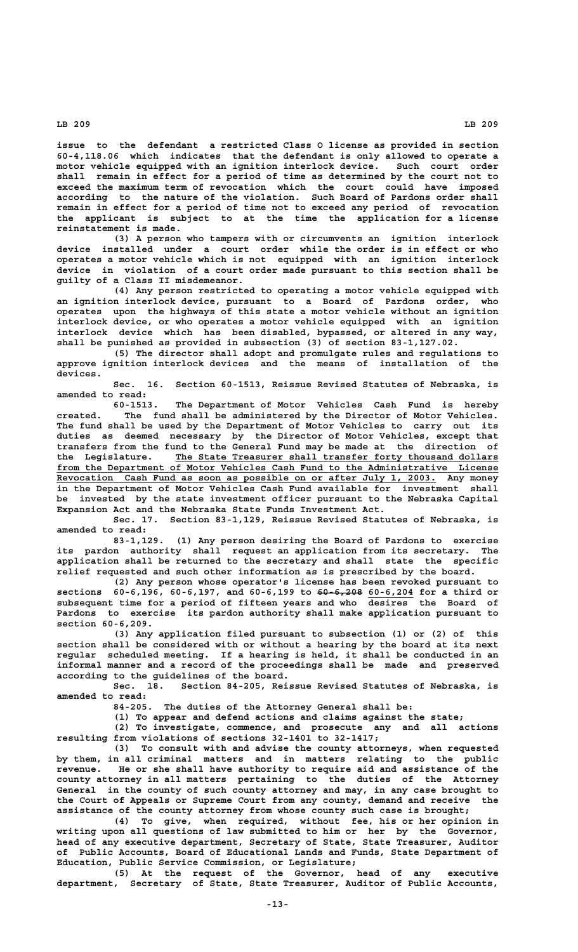**issue to the defendant a restricted Class O license as provided in section 60-4,118.06 which indicates that the defendant is only allowed to operate a motor vehicle equipped with an ignition interlock device. Such court order shall remain in effect for a period of time as determined by the court not to exceed the maximum term of revocation which the court could have imposed according to the nature of the violation. Such Board of Pardons order shall remain in effect for a period of time not to exceed any period of revocation the applicant is subject to at the time the application for a license reinstatement is made.**

**(3) A person who tampers with or circumvents an ignition interlock device installed under a court order while the order is in effect or who operates a motor vehicle which is not equipped with an ignition interlock device in violation of a court order made pursuant to this section shall be guilty of a Class II misdemeanor.**

**(4) Any person restricted to operating a motor vehicle equipped with an ignition interlock device, pursuant to a Board of Pardons order, who operates upon the highways of this state a motor vehicle without an ignition interlock device, or who operates a motor vehicle equipped with an ignition interlock device which has been disabled, bypassed, or altered in any way, shall be punished as provided in subsection (3) of section 83-1,127.02.**

**(5) The director shall adopt and promulgate rules and regulations to approve ignition interlock devices and the means of installation of the devices.**

**Sec. 16. Section 60-1513, Reissue Revised Statutes of Nebraska, is amended to read:**

**60-1513. The Department of Motor Vehicles Cash Fund is hereby created. The fund shall be administered by the Director of Motor Vehicles. The fund shall be used by the Department of Motor Vehicles to carry out its duties as deemed necessary by the Director of Motor Vehicles, except that transfers from the fund to the General Fund may be made at the direction of \_\_\_\_\_\_\_\_\_\_\_\_\_\_\_\_\_\_\_\_\_\_\_\_\_\_\_\_\_\_\_\_\_\_\_\_\_\_\_\_\_\_\_\_\_\_\_\_\_\_\_\_\_\_\_\_\_ the Legislature. The State Treasurer shall transfer forty thousand dollars** from the Department of Motor Vehicles Cash Fund to the Administrative License  **\_\_\_\_\_\_\_\_\_\_\_\_\_\_\_\_\_\_\_\_\_\_\_\_\_\_\_\_\_\_\_\_\_\_\_\_\_\_\_\_\_\_\_\_\_\_\_\_\_\_\_\_\_\_\_\_\_\_\_\_\_\_\_\_\_\_\_ Revocation Cash Fund as soon as possible on or after July 1, 2003. Any money in the Department of Motor Vehicles Cash Fund available for investment shall be invested by the state investment officer pursuant to the Nebraska Capital Expansion Act and the Nebraska State Funds Investment Act.**

> **Sec. 17. Section 83-1,129, Reissue Revised Statutes of Nebraska, is amended to read:**

> **83-1,129. (1) Any person desiring the Board of Pardons to exercise its pardon authority shall request an application from its secretary. The application shall be returned to the secretary and shall state the specific relief requested and such other information as is prescribed by the board.**

> **(2) Any person whose operator's license has been revoked pursuant to** sections 60-6,196, 60-6,197, and 60-6,199 to <del>60 6,208</del> 60-6,204 for a third or **subsequent time for a period of fifteen years and who desires the Board of Pardons to exercise its pardon authority shall make application pursuant to section 60-6,209.**

> **(3) Any application filed pursuant to subsection (1) or (2) of this section shall be considered with or without a hearing by the board at its next regular scheduled meeting. If a hearing is held, it shall be conducted in an informal manner and a record of the proceedings shall be made and preserved according to the guidelines of the board.**

> **Sec. 18. Section 84-205, Reissue Revised Statutes of Nebraska, is amended to read:**

> > **84-205. The duties of the Attorney General shall be:**

**(1) To appear and defend actions and claims against the state;**

**(2) To investigate, commence, and prosecute any and all actions resulting from violations of sections 32-1401 to 32-1417;**

**(3) To consult with and advise the county attorneys, when requested by them, in all criminal matters and in matters relating to the public revenue. He or she shall have authority to require aid and assistance of the county attorney in all matters pertaining to the duties of the Attorney General in the county of such county attorney and may, in any case brought to the Court of Appeals or Supreme Court from any county, demand and receive the assistance of the county attorney from whose county such case is brought;**

**(4) To give, when required, without fee, his or her opinion in writing upon all questions of law submitted to him or her by the Governor, head of any executive department, Secretary of State, State Treasurer, Auditor of Public Accounts, Board of Educational Lands and Funds, State Department of Education, Public Service Commission, or Legislature;**

**(5) At the request of the Governor, head of any executive department, Secretary of State, State Treasurer, Auditor of Public Accounts,**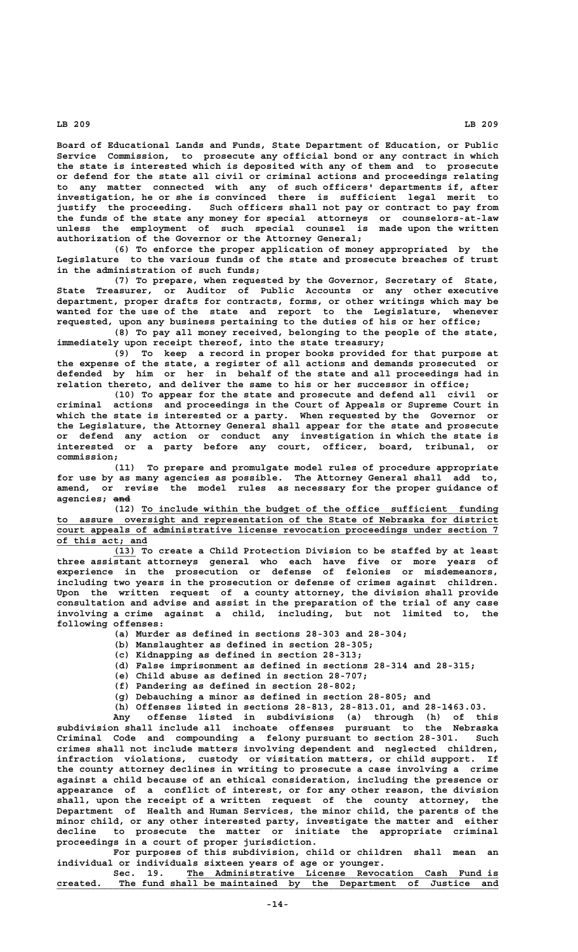**Board of Educational Lands and Funds, State Department of Education, or Public Service Commission, to prosecute any official bond or any contract in which the state is interested which is deposited with any of them and to prosecute or defend for the state all civil or criminal actions and proceedings relating to any matter connected with any of such officers' departments if, after investigation, he or she is convinced there is sufficient legal merit to justify the proceeding. Such officers shall not pay or contract to pay from the funds of the state any money for special attorneys or counselors-at-law unless the employment of such special counsel is made upon the written authorization of the Governor or the Attorney General;**

**(6) To enforce the proper application of money appropriated by the Legislature to the various funds of the state and prosecute breaches of trust in the administration of such funds;**

**(7) To prepare, when requested by the Governor, Secretary of State, State Treasurer, or Auditor of Public Accounts or any other executive department, proper drafts for contracts, forms, or other writings which may be wanted for the use of the state and report to the Legislature, whenever requested, upon any business pertaining to the duties of his or her office;**

**(8) To pay all money received, belonging to the people of the state, immediately upon receipt thereof, into the state treasury;**

**(9) To keep a record in proper books provided for that purpose at the expense of the state, a register of all actions and demands prosecuted or defended by him or her in behalf of the state and all proceedings had in relation thereto, and deliver the same to his or her successor in office;**

**(10) To appear for the state and prosecute and defend all civil or criminal actions and proceedings in the Court of Appeals or Supreme Court in which the state is interested or a party. When requested by the Governor or the Legislature, the Attorney General shall appear for the state and prosecute or defend any action or conduct any investigation in which the state is interested or a party before any court, officer, board, tribunal, or commission;**

**(11) To prepare and promulgate model rules of procedure appropriate for use by as many agencies as possible. The Attorney General shall add to, amend, or revise the model rules as necessary for the proper guidance of agencies; and ———**

 **\_\_\_\_\_\_\_\_\_\_\_\_\_\_\_\_\_\_\_\_\_\_\_\_\_\_\_\_\_\_\_\_\_\_\_\_\_\_\_\_\_\_\_\_\_\_\_\_\_\_\_\_\_\_\_\_\_\_\_\_\_\_\_ (12) To include within the budget of the office sufficient funding \_\_\_\_\_\_\_\_\_\_\_\_\_\_\_\_\_\_\_\_\_\_\_\_\_\_\_\_\_\_\_\_\_\_\_\_\_\_\_\_\_\_\_\_\_\_\_\_\_\_\_\_\_\_\_\_\_\_\_\_\_\_\_\_\_\_\_\_\_\_\_\_\_\_\_\_\_\_ to assure oversight and representation of the State of Nebraska for district \_\_\_\_\_\_\_\_\_\_\_\_\_\_\_\_\_\_\_\_\_\_\_\_\_\_\_\_\_\_\_\_\_\_\_\_\_\_\_\_\_\_\_\_\_\_\_\_\_\_\_\_\_\_\_\_\_\_\_\_\_\_\_\_\_\_\_\_\_\_\_\_\_\_\_\_\_\_ court appeals of administrative license revocation proceedings under section 7 \_\_\_\_\_\_\_\_\_\_\_\_\_\_\_\_ of this act; and**

> **\_\_\_\_ (13) To create a Child Protection Division to be staffed by at least three assistant attorneys general who each have five or more years of experience in the prosecution or defense of felonies or misdemeanors, including two years in the prosecution or defense of crimes against children. Upon the written request of a county attorney, the division shall provide consultation and advise and assist in the preparation of the trial of any case involving a crime against a child, including, but not limited to, the following offenses:**

- **(a) Murder as defined in sections 28-303 and 28-304;**
- **(b) Manslaughter as defined in section 28-305;**
- **(c) Kidnapping as defined in section 28-313;**
- **(d) False imprisonment as defined in sections 28-314 and 28-315;**
- **(e) Child abuse as defined in section 28-707;**
- **(f) Pandering as defined in section 28-802;**
- **(g) Debauching a minor as defined in section 28-805; and**

**(h) Offenses listed in sections 28-813, 28-813.01, and 28-1463.03.**

**Any offense listed in subdivisions (a) through (h) of this subdivision shall include all inchoate offenses pursuant to the Nebraska Criminal Code and compounding a felony pursuant to section 28-301. Such crimes shall not include matters involving dependent and neglected children, infraction violations, custody or visitation matters, or child support. If the county attorney declines in writing to prosecute a case involving a crime against a child because of an ethical consideration, including the presence or appearance of a conflict of interest, or for any other reason, the division shall, upon the receipt of a written request of the county attorney, the Department of Health and Human Services, the minor child, the parents of the minor child, or any other interested party, investigate the matter and either decline to prosecute the matter or initiate the appropriate criminal proceedings in a court of proper jurisdiction.**

**For purposes of this subdivision, child or children shall mean an individual or individuals sixteen years of age or younger.**

 **\_\_\_\_\_\_\_\_\_\_\_\_\_\_\_\_\_\_\_\_\_\_\_\_\_\_\_\_\_\_\_\_\_\_\_\_\_\_\_\_\_\_\_\_\_\_\_\_\_\_\_\_\_\_\_ Sec. 19. The Administrative License Revocation Cash Fund is \_\_\_\_\_\_\_\_\_\_\_\_\_\_\_\_\_\_\_\_\_\_\_\_\_\_\_\_\_\_\_\_\_\_\_\_\_\_\_\_\_\_\_\_\_\_\_\_\_\_\_\_\_\_\_\_\_\_\_\_\_\_\_\_\_\_\_\_\_\_\_\_\_\_\_\_\_\_ created. The fund shall be maintained by the Department of Justice and**